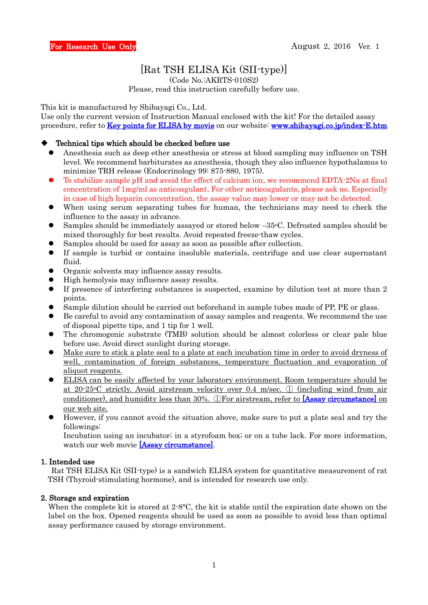# [Rat TSH ELISA Kit (SII-type)]

(Code No.:AKRTS-010S2)

Please, read this instruction carefully before use.

This kit is manufactured by Shibayagi Co., Ltd.

Use only the current version of Instruction Manual enclosed with the kit! For the detailed assay procedure, refer to **Key points for ELISA by movie** on our website: **[www.shibayagi.co.jp/index-E.htm](file:///F:/取説A4・4枚/下垂体/TSH/www.shibayagi.co.jp/index-E.htm)** 

#### Technical tips which should be checked before use

- Anesthesia such as deep ether anesthesia or stress at blood sampling may influence on TSH level. We recommend barbiturates as anesthesia, though they also influence hypothalamus to minimize TRH release (Endocrinology 99: 875-880, 1975).
- To stabilize sample pH and avoid the effect of calcium ion, we recommend EDTA-2Na at final concentration of 1mg/ml as anticoagulant. For other anticoagulants, please ask us. Especially in case of high heparin concentration, the assay value may lower or may not be detected.
- When using serum separating tubes for human, the technicians may need to check the influence to the assay in advance.
- Samples should be immediately assayed or stored below  $-35\degree$ C. Defrosted samples should be mixed thoroughly for best results. Avoid repeated freeze-thaw cycles.
- Samples should be used for assay as soon as possible after collection.
- If sample is turbid or contains insoluble materials, centrifuge and use clear supernatant fluid.
- Organic solvents may influence assay results.
- High hemolysis may influence assay results.
- If presence of interfering substances is suspected, examine by dilution test at more than 2 points.
- Sample dilution should be carried out beforehand in sample tubes made of PP, PE or glass.
- Be careful to avoid any contamination of assay samples and reagents. We recommend the use of disposal pipette tips, and 1 tip for 1 well.
- The chromogenic substrate (TMB) solution should be almost colorless or clear pale blue before use. Avoid direct sunlight during storage.
- Make sure to stick a plate seal to a plate at each incubation time in order to avoid dryness of well, contamination of foreign substances, temperature fluctuation and evaporation of aliquot reagents.
- ELISA can be easily affected by your laboratory environment. Room temperature should be at 20-25oC strictly. Avoid airstream velocity over 0.4 m/sec. ① (including wind from air conditioner), and humidity less than 30%. ①For airstream, refer to [\[Assay circumstance\]](http://www.shibayagi.co.jp/en/movie_008.html) on our web site.
- However, if you cannot avoid the situation above, make sure to put a plate seal and try the followings:

Incubation using an incubator; in a styrofoam box; or on a tube lack. For more information, watch our web movie [\[Assay circumstance\].](http://www.shibayagi.co.jp/en/movie_008.html)

#### 1. Intended use

 Rat TSH ELISA Kit (SII-type) is a sandwich ELISA system for quantitative measurement of rat TSH (Thyroid-stimulating hormone), and is intended for research use only.

### 2. Storage and expiration

When the complete kit is stored at  $2\text{-}8\text{-}8\text{-}0$ , the kit is stable until the expiration date shown on the label on the box. Opened reagents should be used as soon as possible to avoid less than optimal assay performance caused by storage environment.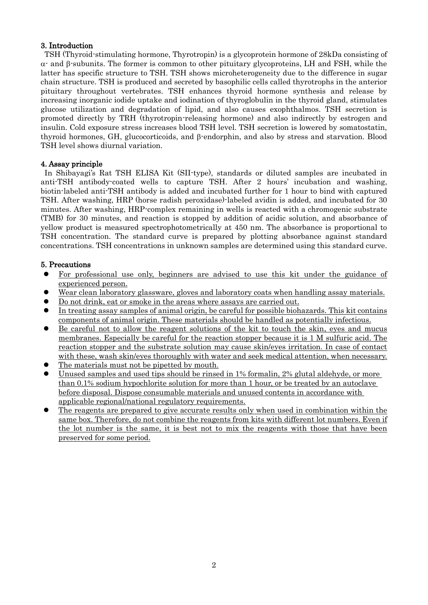### 3. Introduction

TSH (Thyroid-stimulating hormone, Thyrotropin) is a glycoprotein hormone of 28kDa consisting of  $\alpha$  and  $\beta$ -subunits. The former is common to other pituitary glycoproteins, LH and FSH, while the latter has specific structure to TSH. TSH shows microheterogeneity due to the difference in sugar chain structure. TSH is produced and secreted by basophilic cells called thyrotrophs in the anterior pituitary throughout vertebrates. TSH enhances thyroid hormone synthesis and release by increasing inorganic iodide uptake and iodination of thyroglobulin in the thyroid gland, stimulates glucose utilization and degradation of lipid, and also causes exophthalmos. TSH secretion is promoted directly by TRH (thyrotropin-releasing hormone) and also indirectly by estrogen and insulin. Cold exposure stress increases blood TSH level. TSH secretion is lowered by somatostatin, thyroid hormones, GH, glucocorticoids, and  $\beta$ -endorphin, and also by stress and starvation. Blood TSH level shows diurnal variation.

### 4. Assay principle

In Shibayagi's Rat TSH ELISA Kit (SII-type), standards or diluted samples are incubated in anti-TSH antibody-coated wells to capture TSH. After 2 hours' incubation and washing, biotin-labeled anti-TSH antibody is added and incubated further for 1 hour to bind with captured TSH. After washing, HRP (horse radish peroxidase)-labeled avidin is added, and incubated for 30 minutes. After washing, HRP-complex remaining in wells is reacted with a chromogenic substrate (TMB) for 30 minutes, and reaction is stopped by addition of acidic solution, and absorbance of yellow product is measured spectrophotometrically at 450 nm. The absorbance is proportional to TSH concentration. The standard curve is prepared by plotting absorbance against standard concentrations. TSH concentrations in unknown samples are determined using this standard curve.

### 5. Precautions

- For professional use only, beginners are advised to use this kit under the guidance of experienced person.
- Wear clean laboratory glassware, gloves and laboratory coats when handling assay materials.
- Do not drink, eat or smoke in the areas where assays are carried out.
- In treating assay samples of animal origin, be careful for possible biohazards. This kit contains components of animal origin. These materials should be handled as potentially infectious.
- Be careful not to allow the reagent solutions of the kit to touch the skin, eyes and mucus membranes. Especially be careful for the reaction stopper because it is 1 M sulfuric acid. The reaction stopper and the substrate solution may cause skin/eyes irritation. In case of contact with these, wash skin/eyes thoroughly with water and seek medical attention, when necessary.
- The materials must not be pipetted by mouth.
- Unused samples and used tips should be rinsed in 1% formalin, 2% glutal aldehyde, or more than 0.1% sodium hypochlorite solution for more than 1 hour, or be treated by an autoclave before disposal. Dispose consumable materials and unused contents in accordance with applicable regional/national regulatory requirements.
- The reagents are prepared to give accurate results only when used in combination within the same box. Therefore, do not combine the reagents from kits with different lot numbers. Even if the lot number is the same, it is best not to mix the reagents with those that have been preserved for some period.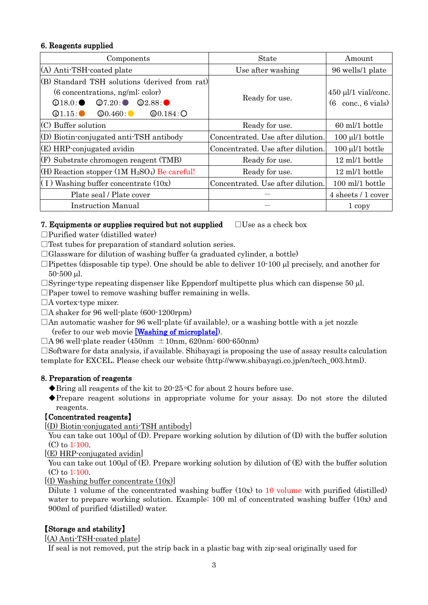# 6. Reagents supplied

| Components                                                                                                                                                                                                                                                 | <b>State</b>                      | Amount                                             |  |
|------------------------------------------------------------------------------------------------------------------------------------------------------------------------------------------------------------------------------------------------------------|-----------------------------------|----------------------------------------------------|--|
| (A) Anti-TSH-coated plate                                                                                                                                                                                                                                  | Use after washing                 | 96 wells/1 plate                                   |  |
| (B) Standard TSH solutions (derived from rat)<br>$(6$ concentrations, ng/ml: color)<br>$\textcircled{27.20}$ :<br>$\textcircled{\scriptsize{2.88}}$ :<br>$\mathcal{D}18.0$ :<br>@0.184:O<br>$\Phi$ 1.15: $\bullet$<br>$\textcircled{\scriptsize{0.460}}$ : | Ready for use.                    | $450 \mu l/1$ vial/conc.<br>conc., 6 vials)<br>(6) |  |
| $(C)$ Buffer solution                                                                                                                                                                                                                                      | Ready for use.                    | 60 ml/1 bottle                                     |  |
| (D) Biotin-conjugated anti-TSH antibody                                                                                                                                                                                                                    | Concentrated. Use after dilution. | $100 \mu l/1$ bottle                               |  |
| $(E)$ HRP-conjugated avidin                                                                                                                                                                                                                                | Concentrated. Use after dilution. | $100 \mu l/1$ bottle                               |  |
| (F) Substrate chromogen reagent (TMB)                                                                                                                                                                                                                      | Ready for use.                    | $12 \text{ ml}/1$ bottle                           |  |
| (H) Reaction stopper $(1M H_2SO_4)$ Be careful!                                                                                                                                                                                                            | Ready for use.                    | 12 ml/1 bottle                                     |  |
| $(1)$ Washing buffer concentrate $(10x)$                                                                                                                                                                                                                   | Concentrated. Use after dilution. | 100 ml/1 bottle                                    |  |
| Plate seal / Plate cover                                                                                                                                                                                                                                   |                                   | 4 sheets / 1 cover                                 |  |
| <b>Instruction Manual</b>                                                                                                                                                                                                                                  |                                   | 1 copy                                             |  |

### 7. Equipments or supplies required but not supplied  $\Box$  Use as a check box

 $\Box$ Purified water (distilled water)

 $\Box$  Test tubes for preparation of standard solution series.

 $\Box$ Glassware for dilution of washing buffer (a graduated cylinder, a bottle)

 $\Box$ Pipettes (disposable tip type). One should be able to deliver 10-100 ul precisely, and another for  $50-500$  ul.

 $\Box$ Syringe-type repeating dispenser like Eppendorf multipette plus which can dispense 50 µl.

 $\Box$ Paper towel to remove washing buffer remaining in wells.

□A vortex-type mixer.

 $\Box$ A shaker for 96 well-plate (600-1200rpm)

 $\Box$  An automatic washer for 96 well-plate (if available), or a washing bottle with a jet nozzle (refer to our web movie [\[Washing of microplate\]\)](http://www.shibayagi.co.jp/en/movie_006.html).

 $\Box$ A 96 well-plate reader (450nm  $\pm$ 10nm, 620nm: 600-650nm)

 $\square$ Software for data analysis, if available. Shibayagi is proposing the use of assay results calculation template for EXCEL. Please check our website (http://www.shibayagi.co.jp/en/tech\_003.html).

# 8. Preparation of reagents

 $\blacklozenge$ Bring all reagents of the kit to 20-25 °C for about 2 hours before use.

◆Prepare reagent solutions in appropriate volume for your assay. Do not store the diluted reagents.

# 【Concentrated reagents】

[(D) Biotin-conjugated anti-TSH antibody]

You can take out 100 $\mu$ l of (D). Prepare working solution by dilution of (D) with the buffer solution (C) to 1:100.

[(E) HRP-conjugated avidin]

You can take out 100 $\mu$ l of (E). Prepare working solution by dilution of (E) with the buffer solution (C) to 1:100.

### $[(I)$  Washing buffer concentrate  $(10x)]$

Dilute 1 volume of the concentrated washing buffer  $(10x)$  to 10 volume with purified (distilled) water to prepare working solution. Example: 100 ml of concentrated washing buffer (10x) and 900ml of purified (distilled) water.

# 【Storage and stability】

[(A) Anti-TSH-coated plate]

If seal is not removed, put the strip back in a plastic bag with zip-seal originally used for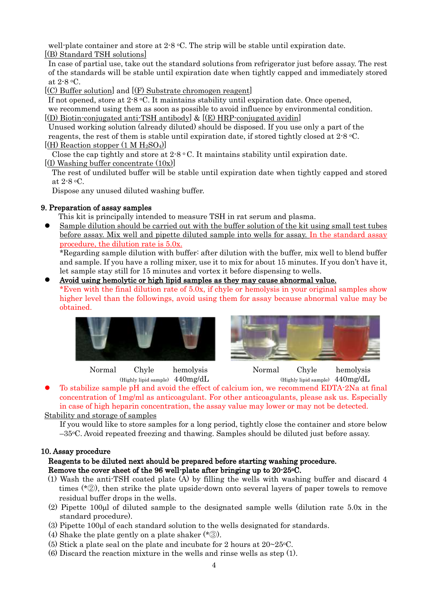well-plate container and store at  $2.8 \text{ °C}$ . The strip will be stable until expiration date. [(B) Standard TSH solutions]

In case of partial use, take out the standard solutions from refrigerator just before assay. The rest of the standards will be stable until expiration date when tightly capped and immediately stored at 2-8 oC.

[(C) Buffer solution] and [(F) Substrate chromogen reagent]

If not opened, store at  $2.8 \text{ °C}$ . It maintains stability until expiration date. Once opened, we recommend using them as soon as possible to avoid influence by environmental condition.  $[(D)$  Biotin-conjugated anti-TSH antibody &  $[(E)$  HRP-conjugated avidin

Unused working solution (already diluted) should be disposed. If you use only a part of the reagents, the rest of them is stable until expiration date, if stored tightly closed at 2-8 oC.  $[(H)$  Reaction stopper  $(1 M H_2SO_4)]$ 

Close the cap tightly and store at  $2.8 \degree$  C. It maintains stability until expiration date. [(I) Washing buffer concentrate (10x)]

The rest of undiluted buffer will be stable until expiration date when tightly capped and stored at 2-8 oC.

Dispose any unused diluted washing buffer.

### 9. Preparation of assay samples

This kit is principally intended to measure TSH in rat serum and plasma.

 Sample dilution should be carried out with the buffer solution of the kit using small test tubes before assay. Mix well and pipette diluted sample into wells for assay. In the standard assay procedure, the dilution rate is 5.0x.

\*Regarding sample dilution with buffer: after dilution with the buffer, mix well to blend buffer and sample. If you have a rolling mixer, use it to mix for about 15 minutes. If you don't have it, let sample stay still for 15 minutes and vortex it before dispensing to wells.

### Avoid using hemolytic or high lipid samples as they may cause abnormal value.

\*Even with the final dilution rate of 5.0x, if chyle or hemolysis in your original samples show higher level than the followings, avoid using them for assay because abnormal value may be obtained.





 Normal Chyle hemolysis Normal Chyle hemolysis (Highly lipid sample)  $440$ mg/dL (Highly lipid sample)  $440$ mg/dL

 To stabilize sample pH and avoid the effect of calcium ion, we recommend EDTA-2Na at final concentration of 1mg/ml as anticoagulant. For other anticoagulants, please ask us. Especially in case of high heparin concentration, the assay value may lower or may not be detected.

Stability and storage of samples

If you would like to store samples for a long period, tightly close the container and store below  $-35\degree$ C. Avoid repeated freezing and thawing. Samples should be diluted just before assay.

### 10. Assay procedure

### Reagents to be diluted next should be prepared before starting washing procedure. Remove the cover sheet of the 96 well-plate after bringing up to 20-25oC.

- (1) Wash the anti-TSH coated plate (A) by filling the wells with washing buffer and discard 4 times (\*②), then strike the plate upside-down onto several layers of paper towels to remove residual buffer drops in the wells.
- (2) Pipette 100 $\mu$ l of diluted sample to the designated sample wells (dilution rate 5.0 $x$  in the standard procedure).
- (3) Pipette 100µl of each standard solution to the wells designated for standards.
- (4) Shake the plate gently on a plate shaker  $(*\circled{3})$ .
- (5) Stick a plate seal on the plate and incubate for 2 hours at  $20\negmedspace\negmedspace\negmedspace 25^{\circ}\text{C}$ .
- (6) Discard the reaction mixture in the wells and rinse wells as step (1).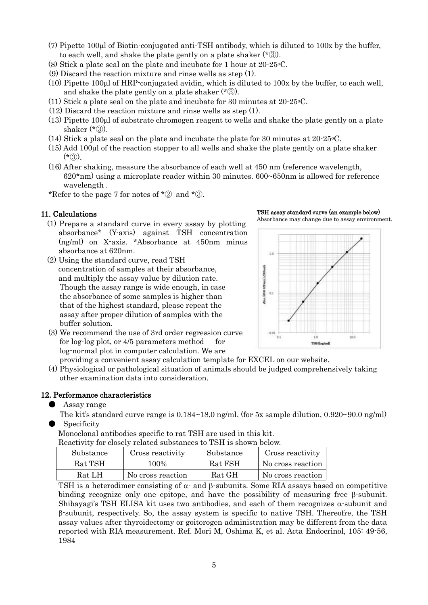- $(7)$  Pipette 100 $\mu$  of Biotin-conjugated anti-TSH antibody, which is diluted to 100x by the buffer, to each well, and shake the plate gently on a plate shaker (\*③).
- (8) Stick a plate seal on the plate and incubate for 1 hour at 20-25oC.
- (9) Discard the reaction mixture and rinse wells as step (1).
- $(10)$  Pipette 100 at HRP-conjugated avidin, which is diluted to 100x by the buffer, to each well, and shake the plate gently on a plate shaker (\*③).
- (11) Stick a plate seal on the plate and incubate for 30 minutes at  $20\n-25\n-6$ .
- (12) Discard the reaction mixture and rinse wells as step (1).
- $(13)$  Pipette 100 $\mu$ l of substrate chromogen reagent to wells and shake the plate gently on a plate shaker  $(* \circledS)$ .
- (14) Stick a plate seal on the plate and incubate the plate for 30 minutes at 20-25oC.
- $(15)$  Add 100 $\mu$ l of the reaction stopper to all wells and shake the plate gently on a plate shaker  $(*(3))$ .
- (16) After shaking, measure the absorbance of each well at 450 nm (reference wavelength, 620\*nm) using a microplate reader within 30 minutes. 600~650nm is allowed for reference wavelength .
- \*Refer to the page 7 for notes of  $* \mathcal{D}$  and  $* \mathcal{D}$ .

### 11. Calculations

- (1) Prepare a standard curve in every assay by plotting absorbance\* (Y-axis) against TSH concentration (ng/ml) on X-axis. \*Absorbance at 450nm minus absorbance at 620nm.
- (2) Using the standard curve, read TSH concentration of samples at their absorbance, and multiply the assay value by dilution rate. Though the assay range is wide enough, in case the absorbance of some samples is higher than that of the highest standard, please repeat the assay after proper dilution of samples with the buffer solution.
- (3) We recommend the use of 3rd order regression curve for  $log$ -log plot, or  $4/5$  parameters method for log-normal plot in computer calculation. We are

TSH assay standard curve (an example below) Absorbance may change due to assay environment.



providing a convenient assay calculation template for EXCEL on our website.

(4) Physiological or pathological situation of animals should be judged comprehensively taking other examination data into consideration.

#### 12. Performance characteristics

- Assay range
- The kit's standard curve range is  $0.184 \sim 18.0$  ng/ml. (for 5x sample dilution,  $0.920 \sim 90.0$  ng/ml) **Specificity**

Monoclonal antibodies specific to rat TSH are used in this kit.

Reactivity for closely related substances to TSH is shown below.

| Substance | Cross reactivity  | Substance | Cross reactivity  |
|-----------|-------------------|-----------|-------------------|
| Rat TSH   | 100%              | Rat FSH   | No cross reaction |
| Rat LH    | No cross reaction | Rat GH    | No cross reaction |

TSH is a heterodimer consisting of  $\alpha$  and  $\beta$ -subunits. Some RIA assays based on competitive binding recognize only one epitope, and have the possibility of measuring free  $\beta$ -subunit. Shibayagi's TSH ELISA kit uses two antibodies, and each of them recognizes  $\alpha$ -subunit and  $\beta$ -subunit, respectively. So, the assay system is specific to native TSH. Thereofre, the TSH assay values after thyroidectomy or goitorogen administration may be different from the data reported with RIA measurement. Ref. Mori M, Oshima K, et al. Acta Endocrinol, 105: 49-56, 1984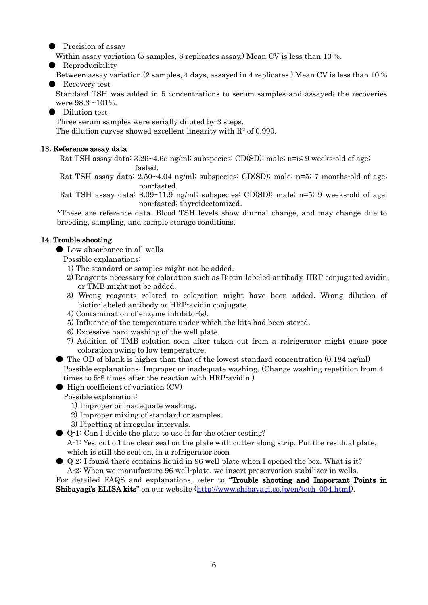Precision of assay

Within assay variation (5 samples, 8 replicates assay,) Mean CV is less than 10 %.

● Reproducibility

 Between assay variation (2 samples, 4 days, assayed in 4 replicates ) Mean CV is less than 10 % Recovery test

 Standard TSH was added in 5 concentrations to serum samples and assayed; the recoveries were 98.3 ~101%.

Dilution test

Three serum samples were serially diluted by 3 steps.

The dilution curves showed excellent linearity with  $R<sup>2</sup>$  of 0.999.

### 13. Reference assay data

Rat TSH assay data: 3.26~4.65 ng/ml; subspecies: CD(SD); male; n=5; 9 weeks-old of age; fasted.

Rat TSH assay data: 2.50~4.04 ng/ml; subspecies: CD(SD); male; n=5; 7 months-old of age; non-fasted.

Rat TSH assay data: 8.09~11.9 ng/ml; subspecies: CD(SD); male; n=5; 9 weeks-old of age; non-fasted; thyroidectomized.

\*These are reference data. Blood TSH levels show diurnal change, and may change due to breeding, sampling, and sample storage conditions.

# 14. Trouble shooting

● Low absorbance in all wells

Possible explanations:

- 1) The standard or samples might not be added.
- 2) Reagents necessary for coloration such as Biotin-labeled antibody, HRP-conjugated avidin, or TMB might not be added.
- 3) Wrong reagents related to coloration might have been added. Wrong dilution of biotin-labeled antibody or HRP-avidin conjugate.
- 4) Contamination of enzyme inhibitor(s).
- 5) Influence of the temperature under which the kits had been stored.
- 6) Excessive hard washing of the well plate.
- 7) Addition of TMB solution soon after taken out from a refrigerator might cause poor coloration owing to low temperature.
- $\bullet$  The OD of blank is higher than that of the lowest standard concentration (0.184 ng/ml) Possible explanations: Improper or inadequate washing. (Change washing repetition from 4 times to 5-8 times after the reaction with HRP-avidin.)
- High coefficient of variation (CV)

Possible explanation:

- 1) Improper or inadequate washing.
- 2) Improper mixing of standard or samples.
- 3) Pipetting at irregular intervals.
- Q-1: Can I divide the plate to use it for the other testing?
	- A-1: Yes, cut off the clear seal on the plate with cutter along strip. Put the residual plate, which is still the seal on, in a refrigerator soon
- Q-2: I found there contains liquid in 96 well-plate when I opened the box. What is it? A-2: When we manufacture 96 well-plate, we insert preservation stabilizer in wells.

For detailed FAQS and explanations, refer to "Trouble shooting and Important Points in Shibayagi's ELISA kits" on our website [\(http://www.shibayagi.co.jp/en/tech\\_004.html\)](http://www.shibayagi.co.jp/en/tech_004.html).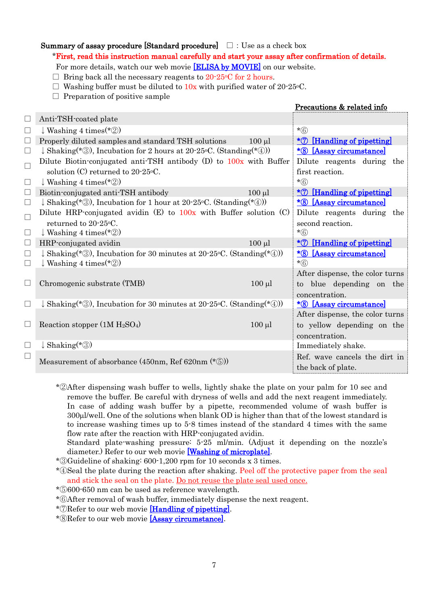### Summary of assay procedure [Standard procedure]  $\Box$  : Use as a check box

\*First, read this instruction manual carefully and start your assay after confirmation of details.

For more details, watch our web movie [\[ELISA by MOVIE\]](http://www.shibayagi.co.jp/en/movie.html) on our website.

 $\Box$  Bring back all the necessary reagents to 20-25 °C for 2 hours.

 $\Box$  Washing buffer must be diluted to  $10x$  with purified water of 20-25 °C.

 $\Box$  Preparation of positive sample

|        |                                                                                 |             | <u>Precautions &amp; related info</u>      |
|--------|---------------------------------------------------------------------------------|-------------|--------------------------------------------|
| $\Box$ | Anti-TSH-coated plate                                                           |             |                                            |
| $\Box$ | $\downarrow$ Washing 4 times (*2)                                               |             | $*(6)$                                     |
| $\Box$ | Properly diluted samples and standard TSH solutions                             | $100$ $\mu$ | <u>*7 [Handling of pipetting]</u>          |
| $\Box$ | $\downarrow$ Shaking(*③), Incubation for 2 hours at 20-25 °C. (Standing(*④))    |             | *8 [Assay circumstance]                    |
| $\Box$ | Dilute Biotin-conjugated anti-TSH antibody $(D)$ to $100x$ with Buffer          |             | Dilute reagents during the                 |
|        | solution (C) returned to $20\n-25\degree C$ .                                   |             | first reaction.                            |
| $\Box$ | $\downarrow$ Washing 4 times (*2)                                               |             | $*$ $\circ$                                |
| $\Box$ | Biotin-conjugated anti-TSH antibody                                             | $100 \mu l$ | <u>*7 [Handling of pipetting]</u>          |
| $\Box$ | $\downarrow$ Shaking(*③), Incubation for 1 hour at 20-25 °C. (Standing(*④))     |             | <u>*8 [Assay circumstance]</u>             |
| $\Box$ | Dilute HRP-conjugated avidin $(E)$ to $100x$ with Buffer solution $(C)$         |             | Dilute reagents during the                 |
|        | returned to 20-25 °C.                                                           |             | second reaction.                           |
| $\Box$ | $\downarrow$ Washing 4 times (*2)                                               |             | $*$ $\circ$                                |
| $\Box$ | HRP-conjugated avidin                                                           | $100 \mu l$ | <u>*7 [Handling of pipetting]</u>          |
| □      | $\downarrow$ Shaking(*3), Incubation for 30 minutes at 20-25 °C. (Standing(*4)) |             | <u>*8 [Assay circumstance]</u>             |
| $\Box$ | $\downarrow$ Washing 4 times (*2)                                               |             | $*(6)$                                     |
|        |                                                                                 |             | After dispense, the color turns            |
| ⊔      | Chromogenic substrate (TMB)                                                     | $100 \mu l$ | to blue depending on the<br>concentration. |
| ⊔      | $\downarrow$ Shaking(*3), Incubation for 30 minutes at 20-25 °C. (Standing(*4)) |             | <u>*8 [Assay circumstance]</u>             |
|        |                                                                                 |             | After dispense, the color turns            |
| ∟      | Reaction stopper $(1M H_2SO_4)$                                                 | $100 \mu l$ | to yellow depending on the                 |
|        |                                                                                 |             | concentration.                             |
| $\Box$ | $\downarrow$ Shaking <sup>(*</sup> ③)                                           |             | Immediately shake.                         |
| $\Box$ |                                                                                 |             | Ref. wave cancels the dirt in              |
|        | Measurement of absorbance (450nm, Ref 620nm $(* \circledS)$ )                   |             | the back of plate.                         |
|        |                                                                                 |             |                                            |

\*②After dispensing wash buffer to wells, lightly shake the plate on your palm for 10 sec and remove the buffer. Be careful with dryness of wells and add the next reagent immediately. In case of adding wash buffer by a pipette, recommended volume of wash buffer is 300l/well. One of the solutions when blank OD is higher than that of the lowest standard is to increase washing times up to 5-8 times instead of the standard 4 times with the same flow rate after the reaction with HRP-conjugated avidin.

Standard plate-washing pressure: 5-25 ml/min. (Adjust it depending on the nozzle's diameter.) Refer to our web movie [\[Washing of microplate\].](http://www.shibayagi.co.jp/en/movie_006.html)

\*③Guideline of shaking: 600-1,200 rpm for 10 seconds x 3 times.

\*④Seal the plate during the reaction after shaking. Peel off the protective paper from the seal and stick the seal on the plate. Do not reuse the plate seal used once.

- \*⑤600-650 nm can be used as reference wavelength.
- \*⑥After removal of wash buffer, immediately dispense the next reagent.
- \*⑦Refer to our web movie [\[Handling of pipetting\].](http://www.shibayagi.co.jp/en/movie_004.html)

\*⑧Refer to our web movie [\[Assay circumstance\].](http://www.shibayagi.co.jp/en/movie_008.html)